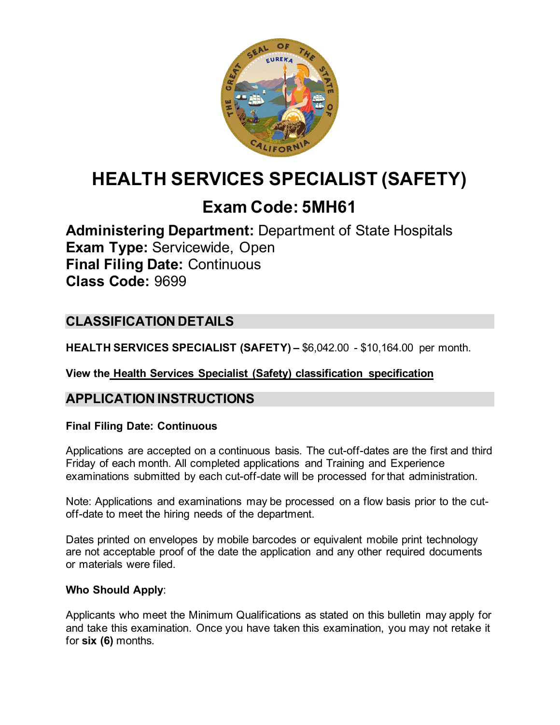

# **HEALTH SERVICES SPECIALIST (SAFETY)**

# **Exam Code: 5MH61**

**Administering Department:** Department of State Hospitals **Exam Type:** Servicewide, Open **Final Filing Date:** Continuous **Class Code:** 9699

# **CLASSIFICATION DETAILS**

**HEALTH SERVICES SPECIALIST (SAFETY) –** \$6,042.00 - \$10,164.00 per month.

# **View the [Health Services Specialist \(Safety\)](https://www.calhr.ca.gov/state-hr-professionals/Pages/9699.aspx) classification specification**

# **APPLICATION INSTRUCTIONS**

### **Final Filing Date: Continuous**

Applications are accepted on a continuous basis. The cut-off-dates are the first and third Friday of each month. All completed applications and Training and Experience examinations submitted by each cut-off-date will be processed for that administration.

Note: Applications and examinations may be processed on a flow basis prior to the cutoff-date to meet the hiring needs of the department.

Dates printed on envelopes by mobile barcodes or equivalent mobile print technology are not acceptable proof of the date the application and any other required documents or materials were filed.

### **Who Should Apply**:

Applicants who meet the Minimum Qualifications as stated on this bulletin may apply for and take this examination. Once you have taken this examination, you may not retake it for **six (6)** months.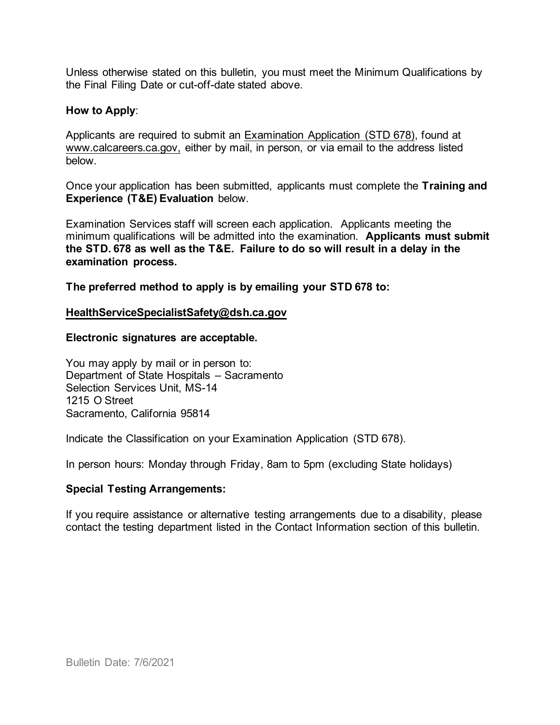Unless otherwise stated on this bulletin, you must meet the Minimum Qualifications by the Final Filing Date or cut-off-date stated above.

#### **How to Apply**:

Applicants are required to submit an [Examination Application \(STD 678\),](https://jobs.ca.gov/pdf/std678.pdf) found at [www.calcareers.ca.gov,](http://www.calcareers.ca.gov/) either by mail, in person, or via email to the address listed below.

Once your application has been submitted, applicants must complete the **Training and Experience (T&E) Evaluation** below.

Examination Services staff will screen each application. Applicants meeting the minimum qualifications will be admitted into the examination. **Applicants must submit the STD. 678 as well as the T&E. Failure to do so will result in a delay in the examination process.**

**The preferred method to apply is by emailing your STD 678 to:**

#### **[HealthServiceSpecialistSafety@dsh.ca.gov](mailto:HealthServiceSpecialistSafety@dsh.ca.gov)**

#### **Electronic signatures are acceptable.**

You may apply by mail or in person to: Department of State Hospitals – Sacramento Selection Services Unit, MS-14 1215 O Street Sacramento, California 95814

Indicate the Classification on your Examination Application (STD 678).

In person hours: Monday through Friday, 8am to 5pm (excluding State holidays)

### **Special Testing Arrangements:**

If you require assistance or alternative testing arrangements due to a disability, please contact the testing department listed in the Contact Information section of this bulletin.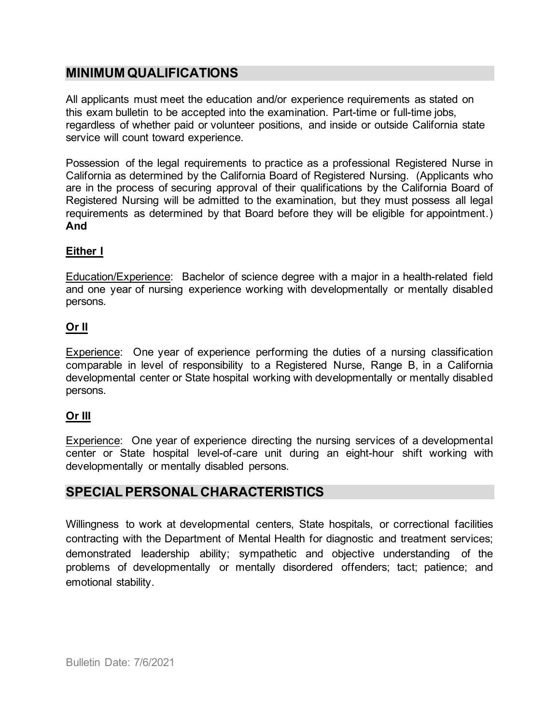# **MINIMUM QUALIFICATIONS**

All applicants must meet the education and/or experience requirements as stated on this exam bulletin to be accepted into the examination. Part-time or full-time jobs, regardless of whether paid or volunteer positions, and inside or outside California state service will count toward experience.

Possession of the legal requirements to practice as a professional Registered Nurse in California as determined by the California Board of Registered Nursing. (Applicants who are in the process of securing approval of their qualifications by the California Board of Registered Nursing will be admitted to the examination, but they must possess all legal requirements as determined by that Board before they will be eligible for appointment.) **And**

## **Either I**

Education/Experience: Bachelor of science degree with a major in a health-related field and one year of nursing experience working with developmentally or mentally disabled persons.

## **Or II**

Experience: One year of experience performing the duties of a nursing classification comparable in level of responsibility to a Registered Nurse, Range B, in a California developmental center or State hospital working with developmentally or mentally disabled persons.

# **Or III**

Experience: One year of experience directing the nursing services of a developmental center or State hospital level-of-care unit during an eight-hour shift working with developmentally or mentally disabled persons.

# **SPECIAL PERSONAL CHARACTERISTICS**

Willingness to work at developmental centers, State hospitals, or correctional facilities contracting with the Department of Mental Health for diagnostic and treatment services; demonstrated leadership ability; sympathetic and objective understanding of the problems of developmentally or mentally disordered offenders; tact; patience; and emotional stability.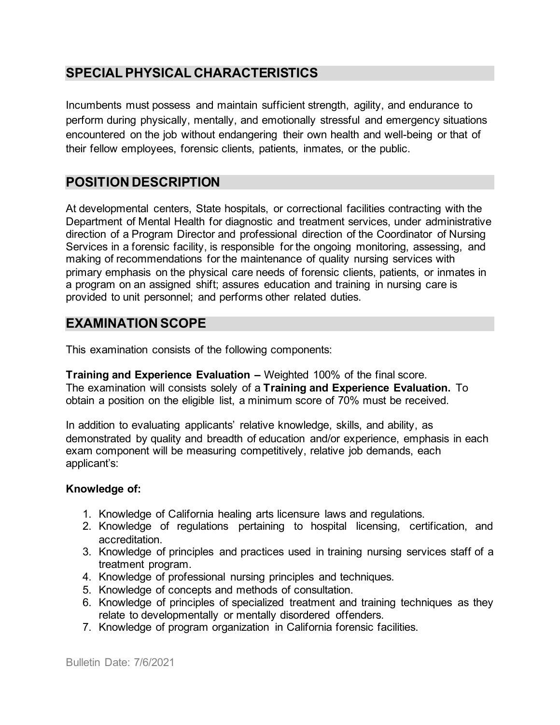# **SPECIAL PHYSICAL CHARACTERISTICS**

Incumbents must possess and maintain sufficient strength, agility, and endurance to perform during physically, mentally, and emotionally stressful and emergency situations encountered on the job without endangering their own health and well-being or that of their fellow employees, forensic clients, patients, inmates, or the public.

# **POSITION DESCRIPTION**

At developmental centers, State hospitals, or correctional facilities contracting with the Department of Mental Health for diagnostic and treatment services, under administrative direction of a Program Director and professional direction of the Coordinator of Nursing Services in a forensic facility, is responsible for the ongoing monitoring, assessing, and making of recommendations for the maintenance of quality nursing services with primary emphasis on the physical care needs of forensic clients, patients, or inmates in a program on an assigned shift; assures education and training in nursing care is provided to unit personnel; and performs other related duties.

# **EXAMINATION SCOPE**

This examination consists of the following components:

**Training and Experience Evaluation –** Weighted 100% of the final score. The examination will consists solely of a **Training and Experience Evaluation.** To obtain a position on the eligible list, a minimum score of 70% must be received.

In addition to evaluating applicants' relative knowledge, skills, and ability, as demonstrated by quality and breadth of education and/or experience, emphasis in each exam component will be measuring competitively, relative job demands, each applicant's:

### **Knowledge of:**

- 1. Knowledge of California healing arts licensure laws and regulations.
- 2. Knowledge of regulations pertaining to hospital licensing, certification, and accreditation.
- 3. Knowledge of principles and practices used in training nursing services staff of a treatment program.
- 4. Knowledge of professional nursing principles and techniques.
- 5. Knowledge of concepts and methods of consultation.
- 6. Knowledge of principles of specialized treatment and training techniques as they relate to developmentally or mentally disordered offenders.
- 7. Knowledge of program organization in California forensic facilities.

Bulletin Date: 7/6/2021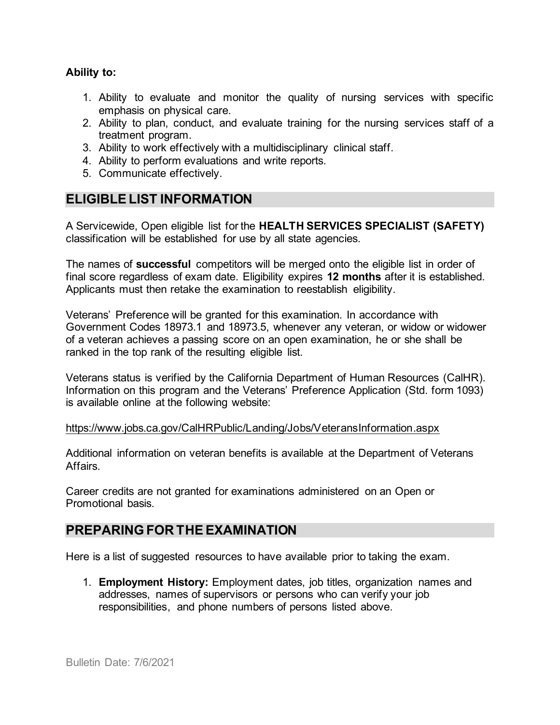### **Ability to:**

- 1. Ability to evaluate and monitor the quality of nursing services with specific emphasis on physical care.
- 2. Ability to plan, conduct, and evaluate training for the nursing services staff of a treatment program.
- 3. Ability to work effectively with a multidisciplinary clinical staff.
- 4. Ability to perform evaluations and write reports.
- 5. Communicate effectively.

# **ELIGIBLE LIST INFORMATION**

A Servicewide, Open eligible list for the **HEALTH SERVICES SPECIALIST (SAFETY)** classification will be established for use by all state agencies.

The names of **successful** competitors will be merged onto the eligible list in order of final score regardless of exam date. Eligibility expires **12 months** after it is established. Applicants must then retake the examination to reestablish eligibility.

Veterans' Preference will be granted for this examination. In accordance with Government Codes 18973.1 and 18973.5, whenever any veteran, or widow or widower of a veteran achieves a passing score on an open examination, he or she shall be ranked in the top rank of the resulting eligible list.

Veterans status is verified by the California Department of Human Resources (CalHR). Information on this program and the Veterans' Preference Application (Std. form 1093) is available online at the following website:

#### <https://www.jobs.ca.gov/CalHRPublic/Landing/Jobs/VeteransInformation.aspx>

Additional information on veteran benefits is available at the Department of Veterans Affairs.

Career credits are not granted for examinations administered on an Open or Promotional basis.

# **PREPARING FOR THE EXAMINATION**

Here is a list of suggested resources to have available prior to taking the exam.

1. **Employment History:** Employment dates, job titles, organization names and addresses, names of supervisors or persons who can verify your job responsibilities, and phone numbers of persons listed above.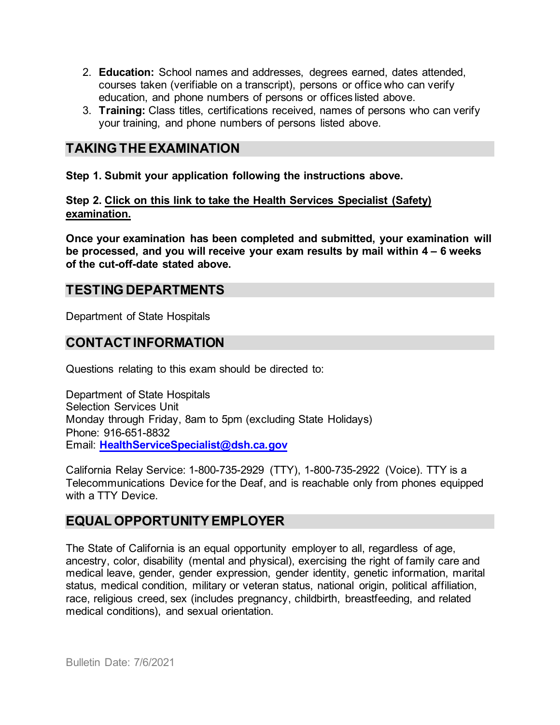- 2. **Education:** School names and addresses, degrees earned, dates attended, courses taken (verifiable on a transcript), persons or office who can verify education, and phone numbers of persons or offices listed above.
- 3. **Training:** Class titles, certifications received, names of persons who can verify your training, and phone numbers of persons listed above.

# **TAKING THE EXAMINATION**

**Step 1. Submit your application following the instructions above.**

**Step 2. [Click on this link to take the Health Services Specialist \(Safety\)](https://www.surveymonkey.com/r/GFRVNHK)  [examination.](https://www.surveymonkey.com/r/GFRVNHK)**

**Once your examination has been completed and submitted, your examination will be processed, and you will receive your exam results by mail within 4 – 6 weeks of the cut-off-date stated above.** 

### **TESTING DEPARTMENTS**

Department of State Hospitals

## **CONTACT INFORMATION**

Questions relating to this exam should be directed to:

Department of State Hospitals Selection Services Unit Monday through Friday, 8am to 5pm (excluding State Holidays) Phone: 916-651-8832 Email: **[HealthServiceSpecialist@dsh.ca.gov](mailto:HealthServiceSpecialist@dsh.ca.gov)**

California Relay Service: 1-800-735-2929 (TTY), 1-800-735-2922 (Voice). TTY is a Telecommunications Device for the Deaf, and is reachable only from phones equipped with a TTY Device

# **EQUAL OPPORTUNITY EMPLOYER**

The State of California is an equal opportunity employer to all, regardless of age, ancestry, color, disability (mental and physical), exercising the right of family care and medical leave, gender, gender expression, gender identity, genetic information, marital status, medical condition, military or veteran status, national origin, political affiliation, race, religious creed, sex (includes pregnancy, childbirth, breastfeeding, and related medical conditions), and sexual orientation.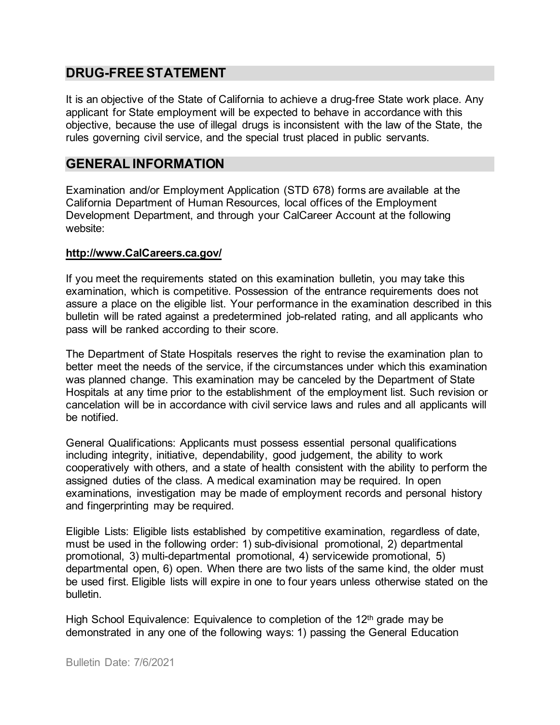# **DRUG-FREE STATEMENT**

It is an objective of the State of California to achieve a drug-free State work place. Any applicant for State employment will be expected to behave in accordance with this objective, because the use of illegal drugs is inconsistent with the law of the State, the rules governing civil service, and the special trust placed in public servants.

### **GENERAL INFORMATION**

Examination and/or Employment Application (STD 678) forms are available at the California Department of Human Resources, local offices of the Employment Development Department, and through your CalCareer Account at the following website:

### **[http://www.CalCareers.ca.gov/](http://www.calcareers.ca.gov/)**

If you meet the requirements stated on this examination bulletin, you may take this examination, which is competitive. Possession of the entrance requirements does not assure a place on the eligible list. Your performance in the examination described in this bulletin will be rated against a predetermined job-related rating, and all applicants who pass will be ranked according to their score.

The Department of State Hospitals reserves the right to revise the examination plan to better meet the needs of the service, if the circumstances under which this examination was planned change. This examination may be canceled by the Department of State Hospitals at any time prior to the establishment of the employment list. Such revision or cancelation will be in accordance with civil service laws and rules and all applicants will be notified.

General Qualifications: Applicants must possess essential personal qualifications including integrity, initiative, dependability, good judgement, the ability to work cooperatively with others, and a state of health consistent with the ability to perform the assigned duties of the class. A medical examination may be required. In open examinations, investigation may be made of employment records and personal history and fingerprinting may be required.

Eligible Lists: Eligible lists established by competitive examination, regardless of date, must be used in the following order: 1) sub-divisional promotional, 2) departmental promotional, 3) multi-departmental promotional, 4) servicewide promotional, 5) departmental open, 6) open. When there are two lists of the same kind, the older must be used first. Eligible lists will expire in one to four years unless otherwise stated on the bulletin.

High School Equivalence: Equivalence to completion of the 12<sup>th</sup> grade may be demonstrated in any one of the following ways: 1) passing the General Education